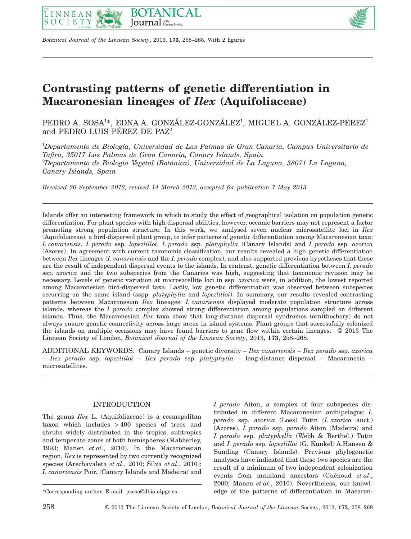





# **Contrasting patterns of genetic differentiation in Macaronesian lineages of** *Ilex* **(Aquifoliaceae)**

PEDRO A. SOSA1\*, EDNA A. GONZÁLEZ-GONZÁLEZ<sup>1</sup>, MIGUEL A. GONZÁLEZ-PÉREZ<sup>1</sup> and PEDRO LUIS PÉREZ DE PAZ2

1 *Departamento de Biología, Universidad de Las Palmas de Gran Canaria, Campus Universitario de Tafira, 35017 Las Palmas de Gran Canaria, Canary Islands, Spain* 2 *Departamento de Biología Vegetal (Botánica), Universidad de La Laguna, 38071 La Laguna, Canary Islands, Spain*

*Received 20 September 2012; revised 14 March 2013; accepted for publication 7 May 2013*

Islands offer an interesting framework in which to study the effect of geographical isolation on population genetic differentiation. For plant species with high dispersal abilities, however, oceanic barriers may not represent a factor promoting strong population structure. In this work, we analysed seven nuclear microsatellite loci in *Ilex* (Aquifoliaceae), a bird-dispersed plant group, to infer patterns of genetic differentiation among Macaronesian taxa: *I. canariensis*, *I. perado* ssp. *lopezlilloi*, *I. perado* ssp. *platyphylla* (Canary Islands) and *I. perado* ssp. *azorica* (Azores). In agreement with current taxonomic classification, our results revealed a high genetic differentiation between *Ilex* lineages (*I. canariensis* and the *I. perado* complex), and also supported previous hypotheses that these are the result of independent dispersal events to the islands. In contrast, genetic differentiation between *I. perado* ssp. *azorica* and the two subspecies from the Canaries was high, suggesting that taxonomic revision may be necessary. Levels of genetic variation at microsatellite loci in ssp. *azorica* were, in addition, the lowest reported among Macaronesian bird-dispersed taxa. Lastly, low genetic differentiation was observed between subspecies occurring on the same island (sspp. *platyphylla* and *lopezlilloi*). In summary, our results revealed contrasting patterns between Macaronesian *Ilex* lineages: *I. canariensis* displayed moderate population structure across islands, whereas the *I. perado* complex showed strong differentiation among populations sampled on different islands. Thus, the Macaronesian *Ilex* taxa show that long-distance dispersal syndromes (ornithochory) do not always ensure genetic connectivity across large areas in island systems. Plant groups that successfully colonized the islands on multiple occasions may have found barriers to gene flow within certain lineages. © 2013 The Linnean Society of London, *Botanical Journal of the Linnean Society*, 2013, **173**, 258–268.

ADDITIONAL KEYWORDS: Canary Islands – genetic diversity – *Ilex canariensis* – *Ilex perado* ssp. *azorica* – *Ilex perado* ssp. *lopezlilloi* – *Ilex perado* ssp. *platyphylla* – long-distance dispersal – Macaronesia – microsatellites.

# INTRODUCTION

The genus *Ilex* L. (Aquifoliaceae) is a cosmopolitan taxon which includes > 400 species of trees and shrubs widely distributed in the tropics, subtropics and temperate zones of both hemispheres (Mabberley, 1993; Manen *et al*., 2010). In the Macaronesian region, *Ilex* is represented by two currently recognized species (Arechavaleta *et al*., 2010; Silva *et al*., 2010): *I. canariensis* Poir. (Canary Islands and Madeira) and

*I. perado* Aiton, a complex of four subspecies distributed in different Macaronesian archipelagos: *I. perado* ssp. a*zorica* (Loes) Tutin (*I. azorica* auct.) (Azores), *I. perado* ssp. *perado* Aiton (Madeira) and *I. perado* ssp. *platyphylla* (Webb & Berthel.) Tutin and *I. perado* ssp. *lopezlilloi* (G. Kunkel) A.Hansen & Sunding (Canary Islands). Previous phylogenetic analyses have indicated that these two species are the result of a minimum of two independent colonization events from mainland ancestors (Cuénoud *et al*., 2000; Manen *et al*., 2010). Nevertheless, our knowl- \*Corresponding author. E-mail: [psosa@dbio.ulpgc.es](mailto:psosa@dbio.ulpgc.es) edge of the patterns of differentiation in Macaron-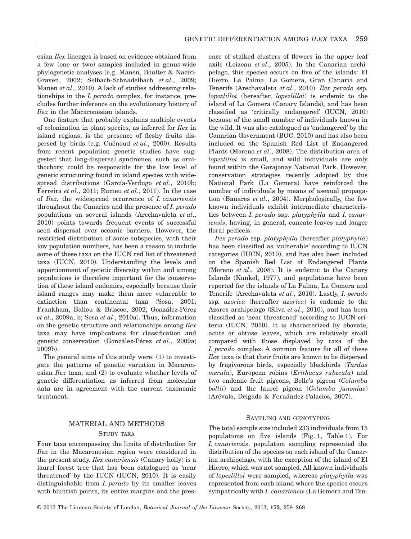esian *Ilex* lineages is based on evidence obtained from a few (one or two) samples included in genus-wide phylogenetic analyses (e.g. Manen, Boulter & Naciri-Graven, 2002; Selbach-Schnadelbach *et al*., 2009; Manen *et al*., 2010). A lack of studies addressing relationships in the *I. perado* complex, for instance, precludes further inference on the evolutionary history of *Ilex* in the Macaronesian islands.

One feature that probably explains multiple events of colonization in plant species, as inferred for *Ilex* in island regions, is the presence of fleshy fruits dispersed by birds (e.g. Cuénoud *et al*., 2000). Results from recent population genetic studies have suggested that long-dispersal syndromes, such as ornithochory, could be responsible for the low level of genetic structuring found in island species with widespread distributions (García-Verdugo *et al*., 2010b; Ferreira *et al*., 2011; Rumeu *et al*., 2011). In the case of *Ilex*, the widespread occurrence of *I. canariensis* throughout the Canaries and the presence of *I. perado* populations on several islands (Arechavaleta *et al*., 2010) points towards frequent events of successful seed dispersal over oceanic barriers. However, the restricted distribution of some subspecies, with their low population numbers, has been a reason to include some of these taxa on the IUCN red list of threatened taxa (IUCN, 2010). Understanding the levels and apportionment of genetic diversity within and among populations is therefore important for the conservation of these island endemics, especially because their island ranges may make them more vulnerable to extinction than continental taxa (Sosa, 2001; Frankham, Ballou & Briscoe, 2002; González-Pérez *et al*., 2009a, b; Sosa *et al*., 2010a). Thus, information on the genetic structure and relationships among *Ilex* taxa may have implications for classification and genetic conservation (González-Pérez *et al*., 2009a; 2009b).

The general aims of this study were: (1) to investigate the patterns of genetic variation in Macaronesian *Ilex* taxa; and (2) to evaluate whether levels of genetic differentiation as inferred from molecular data are in agreement with the current taxonomic treatment.

# MATERIAL AND METHODS STUDY TAXA

Four taxa encompassing the limits of distribution for *Ilex* in the Macaronesian region were considered in the present study. *Ilex canariensis* (Canary holly) is a laurel forest tree that has been catalogued as 'near threatened' by the IUCN (IUCN, 2010). It is easily distinguishable from *I. perado* by its smaller leaves with bluntish points, its entire margins and the presence of stalked clusters of flowers in the upper leaf axils (Loizeau *et al*., 2005). In the Canarian archipelago, this species occurs on five of the islands: El Hierro, La Palma, La Gomera, Gran Canaria and Tenerife (Arechavaleta *et al*., 2010). *Ilex perado* ssp*. lopezlilloi* (hereafter, *lopezlilloi*) is endemic to the island of La Gomera (Canary Islands), and has been classified as 'critically endangered' (IUCN, 2010) because of the small number of individuals known in the wild. It was also catalogued as 'endangered' by the Canarian Government (BOC, 2010) and has also been included on the Spanish Red List of Endangered Plants (Moreno *et al*., 2008). The distribution area of *lopezlilloi* is small, and wild individuals are only found within the Garajonay National Park. However, conservation strategies recently adopted by this National Park (La Gomera) have reinforced the number of individuals by means of asexual propagation (Bañares *et al*., 2004). Morphologically, the few known individuals exhibit intermediate characteristics between *I. perado* ssp. *platyphylla* and *I. canariensis*, having, in general, cuneate leaves and longer floral pedicels.

*Ilex perado* ssp*. platyphylla* (hereafter *platyphylla*) has been classified as 'vulnerable' according to IUCN categories (IUCN, 2010), and has also been included on the Spanish Red List of Endangered Plants (Moreno *et al*., 2008). It is endemic to the Canary Islands (Kunkel, 1977), and populations have been reported for the islands of La Palma, La Gomera and Tenerife (Arechavaleta *et al*., 2010). Lastly, *I. perado* ssp*. azorica* (hereafter *azorica*) is endemic to the Azores archipelago (Silva *et al*., 2010), and has been classified as 'near threatened' according to IUCN criteria (IUCN, 2010). It is characterized by obovate, acute or obtuse leaves, which are relatively small compared with those displayed by taxa of the *I. perado* complex. A common feature for all of these *Ilex* taxa is that their fruits are known to be dispersed by frugivorous birds, especially blackbirds (*Turdus merula*), European robins (*Erithacus rubecula*) and two endemic fruit pigeons, Bolle's pigeon (*Columba bollii*) and the laurel pigeon (*Columba junoniae*) (Arévalo, Delgado & Fernández-Palacios, 2007).

#### SAMPLING AND GENOTYPING

The total sample size included 233 individuals from 15 populations on five islands (Fig. 1, Table 1). For *I. canariensis*, population sampling represented the distribution of the species on each island of the Canarian archipelago, with the exception of the island of El Hierro, which was not sampled. All known individuals of *lopezlilloi* were sampled, whereas *platyphylla* was represented from each island where the species occurs sympatrically with *I. canariensis* (La Gomera and Ten-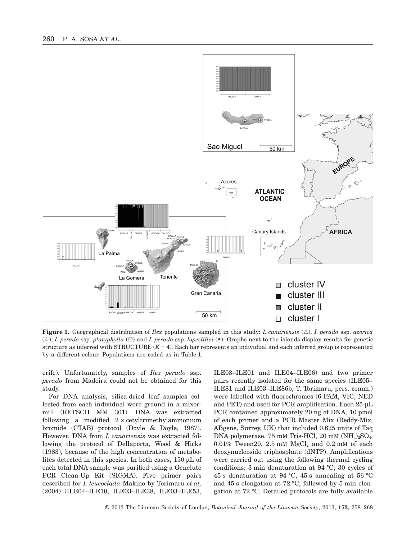

**Figure 1.** Geographical distribution of *Ilex* populations sampled in this study: *I. canariensis* (△), *I. perado* ssp. *azorica* (☆), *I. perado* ssp. *platyphylla* (○) and *I. perado* ssp. *lopezlilloi* (•). Graphs next to the islands display results for genetic structure as inferred with STRUCTURE  $(K = 4)$ . Each bar represents an individual and each inferred group is represented by a different colour. Populations are coded as in Table 1.

erife). Unfortunately, samples of *Ilex perado* ssp. *perado* from Madeira could not be obtained for this study.

For DNA analysis, silica-dried leaf samples collected from each individual were ground in a mixermill (RETSCH MM 301). DNA was extracted following a modified  $2 \times$  cetyltrimethylammonium bromide (CTAB) protocol (Doyle & Doyle, 1987). However, DNA from *I. canariensis* was extracted following the protocol of Dellaporta, Wood & Hicks (1983), because of the high concentration of metabolites detected in this species. In both cases, 150 μL of each total DNA sample was purified using a Genelute PCR Clean-Up Kit (SIGMA). Five primer pairs described for *I. leucoclada* Makino by Torimaru *et al*. (2004) (ILE04–ILE10, ILE03–ILE38, ILE03–ILE53,

ILE03–ILE01 and ILE04–ILE06) and two primer pairs recently isolated for the same species (ILE05– ILE81 and ILE03–ILE86b; T. Torimaru, pers. comm.) were labelled with fluorochromes (6-FAM, VIC, NED and PET) and used for PCR amplification. Each 25-μL PCR contained approximately 20 ng of DNA, 10 pmol of each primer and a PCR Master Mix (Reddy-Mix, ABgene, Surrey, UK) that included 0.625 units of Taq DNA polymerase, 75 mM Tris-HCl, 20 mM  $(NH_4)_2SO_4$ ,  $0.01\%$  Tween20, 2.5 mM  $MgCl<sub>2</sub>$  and 0.2 mM of each deoxynucleoside triphosphate (dNTP). Amplifications were carried out using the following thermal cycling conditions: 3 min denaturation at 94 °C; 30 cycles of 45 s denaturation at 94 °C, 45 s annealing at 56 °C and 45 s elongation at 72 °C; followed by 5 min elongation at 72 °C. Detailed protocols are fully available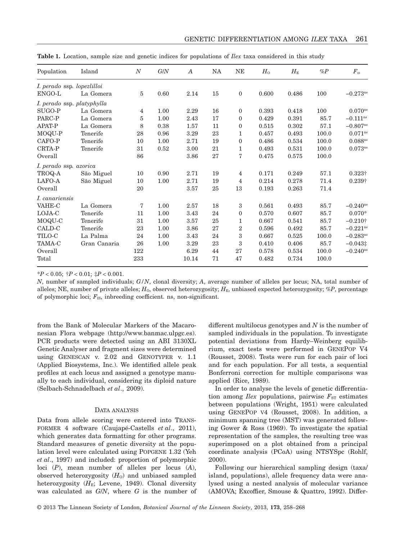| Population                 | Island       | $\boldsymbol{N}$ | G/N  | $\boldsymbol{A}$ | <b>NA</b> | <b>NE</b>        | $H_0$ | $H_{\scriptscriptstyle\rm E}$ | $\%P$ | $F_{\hbox{\tiny{IS}}}$ |
|----------------------------|--------------|------------------|------|------------------|-----------|------------------|-------|-------------------------------|-------|------------------------|
| I. perado ssp. lopezlilloi |              |                  |      |                  |           |                  |       |                               |       |                        |
| ENGO-L                     | La Gomera    | 5                | 0.60 | 2.14             | 15        | $\mathbf{0}$     | 0.600 | 0.486                         | 100   | $-0.273^{ns}$          |
| I. perado ssp. platyphylla |              |                  |      |                  |           |                  |       |                               |       |                        |
| SUGO-P                     | La Gomera    | 4                | 1.00 | 2.29             | 16        | $\mathbf{0}$     | 0.393 | 0.418                         | 100   | $0.070$ <sup>ns</sup>  |
| PARC-P                     | La Gomera    | 5                | 1.00 | 2.43             | 17        | $\mathbf{0}$     | 0.429 | 0.391                         | 85.7  | $-0.111^{ns}$          |
| <b>APAT-P</b>              | La Gomera    | 8                | 0.38 | 1.57             | 11        | $\boldsymbol{0}$ | 0.515 | 0.302                         | 57.1  | $-0.807^{\text{ns}}$   |
| MOQU-P                     | Tenerife     | 28               | 0.96 | 3.29             | 23        | 1                | 0.457 | 0.493                         | 100.0 | $0.071^{ns}$           |
| CAFO-P                     | Tenerife     | 10               | 1.00 | 2.71             | 19        | $\mathbf{0}$     | 0.486 | 0.534                         | 100.0 | 0.088 <sup>ns</sup>    |
| CRTA-P                     | Tenerife     | 31               | 0.52 | 3.00             | 21        | 1                | 0.493 | 0.531                         | 100.0 | $0.073^{ns}$           |
| Overall                    |              | 86               |      | 3.86             | 27        | 7                | 0.475 | 0.575                         | 100.0 |                        |
| I. perado ssp. azorica     |              |                  |      |                  |           |                  |       |                               |       |                        |
| TROQ-A                     | São Miguel   | 10               | 0.90 | 2.71             | 19        | 4                | 0.171 | 0.249                         | 57.1  | $0.323\dagger$         |
| LAFO-A                     | São Miguel   | 10               | 1.00 | 2.71             | 19        | 4                | 0.214 | 0.278                         | 71.4  | $0.239\dagger$         |
| Overall                    |              | 20               |      | 3.57             | 25        | 13               | 0.193 | 0.263                         | 71.4  |                        |
| I. canariensis             |              |                  |      |                  |           |                  |       |                               |       |                        |
| <b>VAHE-C</b>              | La Gomera    | 7                | 1.00 | 2.57             | 18        | 3                | 0.561 | 0.493                         | 85.7  | $-0.240$ <sup>ns</sup> |
| LOJA-C                     | Tenerife     | 11               | 1.00 | 3.43             | 24        | $\mathbf{0}$     | 0.570 | 0.607                         | 85.7  | $0.070*$               |
| MOQU-C                     | Tenerife     | 31               | 1.00 | 3.57             | 25        | 1                | 0.667 | 0.541                         | 85.7  | $-0.210\dagger$        |
| CALD-C                     | Tenerife     | 23               | 1.00 | 3.86             | 27        | $\overline{2}$   | 0.596 | 0.492                         | 85.7  | $-0.221$ <sup>ns</sup> |
| TILO-C                     | La Palma     | 24               | 1.00 | 3.43             | 24        | 3                | 0.667 | 0.525                         | 100.0 | $-0.283$ <sup>ns</sup> |
| <b>TAMA-C</b>              | Gran Canaria | 26               | 1.00 | 3.29             | 23        | 3                | 0.410 | 0.406                         | 85.7  | $-0.043\ddagger$       |
| Overall                    |              | 122              |      | 6.29             | 44        | 27               | 0.578 | 0.534                         | 100.0 | $-0.240^{\text{ns}}$   |
| Total                      |              | 233              |      | 10.14            | 71        | 47               | 0.482 | 0.734                         | 100.0 |                        |

**Table 1.** Location, sample size and genetic indices for populations of *Ilex* taxa considered in this study

\**P* < 0.05; †*P* < 0.01; ‡*P* < 0.001.

*N*, number of sampled individuals; *G/N*, clonal diversity; *A*, average number of alleles per locus; NA, total number of alleles; NE, number of private alleles;  $H_0$ , observed heterozygosity;  $H_E$ , unbiased expected heterozygosity; %*P*, percentage of polymorphic loci;  $F_{\text{IS}}$ , inbreeding coefficient. ns, non-significant.

from the Bank of Molecular Markers of the Macaronesian Flora webpage [\(http://www.banmac.ulpgc.es\)](http://www.banmac.ulpgc.es). PCR products were detected using an ABI 3130XL Genetic Analyser and fragment sizes were determined using GENESCAN v. 2.02 and GENOTYPER v. 1.1 (Applied Biosystems, Inc.). We identified allele peak profiles at each locus and assigned a genotype manually to each individual, considering its diploid nature (Selbach-Schnadelbach *et al*., 2009).

#### DATA ANALYSIS

Data from allele scoring were entered into TRANS-FORMER 4 software (Caujapé-Castells *et al*., 2011), which generates data formatting for other programs. Standard measures of genetic diversity at the population level were calculated using POPGENE 1.32 (Yeh *et al*., 1997) and included: proportion of polymorphic loci (*P*), mean number of alleles per locus (*A*), observed heterozygosity  $(H_0)$  and unbiased sampled heterozygosity  $(H_E;$  Levene, 1949). Clonal diversity was calculated as *G*/*N*, where *G* is the number of different multilocus genotypes and *N* is the number of sampled individuals in the population. To investigate potential deviations from Hardy–Weinberg equilibrium, exact tests were performed in GENEPOP V4 (Rousset, 2008). Tests were run for each pair of loci and for each population. For all tests, a sequential Bonferroni correction for multiple comparisons was applied (Rice, 1989).

In order to analyse the levels of genetic differentiation among *Ilex* populations, pairwise  $F_{ST}$  estimates between populations (Wright, 1951) were calculated using GENEPOP V4 (Rousset, 2008). In addition, a minimum spanning tree (MST) was generated following Gower & Ross (1969). To investigate the spatial representation of the samples, the resulting tree was superimposed on a plot obtained from a principal coordinate analysis (PCoA) using NTSYSpc (Rohlf, 2000).

Following our hierarchical sampling design (taxa/ island, populations), allele frequency data were analysed using a nested analysis of molecular variance (AMOVA; Excoffier, Smouse & Quattro, 1992). Differ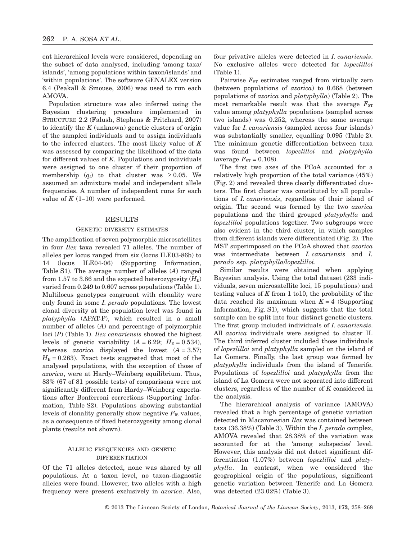ent hierarchical levels were considered, depending on the subset of data analysed, including 'among taxa/ islands', 'among populations within taxon/islands' and 'within populations'. The software GENALEX version 6.4 (Peakall & Smouse, 2006) was used to run each AMOVA.

Population structure was also inferred using the Bayesian clustering procedure implemented in STRUCTURE 2.2 (Falush, Stephens & Pritchard, 2007) to identify the *K* (unknown) genetic clusters of origin of the sampled individuals and to assign individuals to the inferred clusters. The most likely value of *K* was assessed by comparing the likelihood of the data for different values of *K*. Populations and individuals were assigned to one cluster if their proportion of membership  $(q_i)$  to that cluster was  $\geq 0.05$ . We assumed an admixture model and independent allele frequencies. A number of independent runs for each value of  $K(1-10)$  were performed.

### RESULTS

#### GENETIC DIVERSITY ESTIMATES

The amplification of seven polymorphic microsatellites in four *Ilex* taxa revealed 71 alleles. The number of alleles per locus ranged from six (locus ILE03-86b) to 14 (locus ILE04-06) (Supporting Information, Table S1). The average number of alleles (*A*) ranged from 1.57 to 3.86 and the expected heterozygosity  $(H_{\rm E})$ varied from 0.249 to 0.607 across populations (Table 1). Multilocus genotypes congruent with clonality were only found in some *I. perado* populations. The lowest clonal diversity at the population level was found in *platyphylla* (APAT-P), which resulted in a small number of alleles (*A*) and percentage of polymorphic loci (*P*) (Table 1). *Ilex canariensis* showed the highest levels of genetic variability  $(A = 6.29; H<sub>E</sub> = 0.534)$ , whereas  $\alpha zoric\alpha$  displayed the lowest  $(A = 3.57)$ ;  $H<sub>E</sub> = 0.263$ ). Exact tests suggested that most of the analysed populations, with the exception of those of *azorica*, were at Hardy–Weinberg equilibrium. Thus, 83% (67 of 81 possible tests) of comparisons were not significantly different from Hardy–Weinberg expectations after Bonferroni corrections (Supporting Information, Table S2). Populations showing substantial levels of clonality generally show negative  $F_{\text{IS}}$  values, as a consequence of fixed heterozygosity among clonal plants (results not shown).

#### ALLELIC FREQUENCIES AND GENETIC DIFFERENTIATION

Of the 71 alleles detected, none was shared by all populations. At a taxon level, no taxon-diagnostic alleles were found. However, two alleles with a high frequency were present exclusively in *azorica*. Also, four privative alleles were detected in *I. canariensis*. No exclusive alleles were detected for *lopezlilloi* (Table 1).

Pairwise  $F_{ST}$  estimates ranged from virtually zero (between populations of *azorica*) to 0.668 (between populations of *azorica* and *platyphylla*) (Table 2). The most remarkable result was that the average  $F_{ST}$ value among *platyphylla* populations (sampled across two islands) was 0.252, whereas the same average value for *I. canariensis* (sampled across four islands) was substantially smaller, equalling 0.095 (Table 2). The minimum genetic differentiation between taxa was found between *lopezlilloi* and *platyphylla* (average  $F_{ST} = 0.108$ ).

The first two axes of the PCoA accounted for a relatively high proportion of the total variance (45%) (Fig. 2) and revealed three clearly differentiated clusters. The first cluster was constituted by all populations of *I. canariensis*, regardless of their island of origin. The second was formed by the two *azorica* populations and the third grouped *platyphylla* and *lopezlilloi* populations together. Two subgroups were also evident in the third cluster, in which samples from different islands were differentiated (Fig. 2). The MST superimposed on the PCoA showed that *azorica* was intermediate between *I. canariensis* and *I. perado* ssp. *platyphylla*/*lopezlilloi*.

Similar results were obtained when applying Bayesian analysis. Using the total dataset (233 individuals, seven microsatellite loci, 15 populations) and testing values of *K* from 1 to10, the probability of the data reached its maximum when  $K = 4$  (Supporting Information, Fig. S1), which suggests that the total sample can be split into four distinct genetic clusters. The first group included individuals of *I. canariensis*. All *azorica* individuals were assigned to cluster II. The third inferred cluster included those individuals of *lopezlilloi* and *platyphylla* sampled on the island of La Gomera. Finally, the last group was formed by *platyphylla* individuals from the island of Tenerife. Populations of *lopezlilloi* and *platyphylla* from the island of La Gomera were not separated into different clusters, regardless of the number of *K* considered in the analysis.

The hierarchical analysis of variance (AMOVA) revealed that a high percentage of genetic variation detected in Macaronesian *Ilex* was contained between taxa (36.38%) (Table 3). Within the *I. perado* complex, AMOVA revealed that 28.38% of the variation was accounted for at the 'among subspecies' level. However, this analysis did not detect significant differentiation (1.07%) between *lopezlilloi* and *platyphylla*. In contrast, when we considered the geographical origin of the populations, significant genetic variation between Tenerife and La Gomera was detected (23.02%) (Table 3).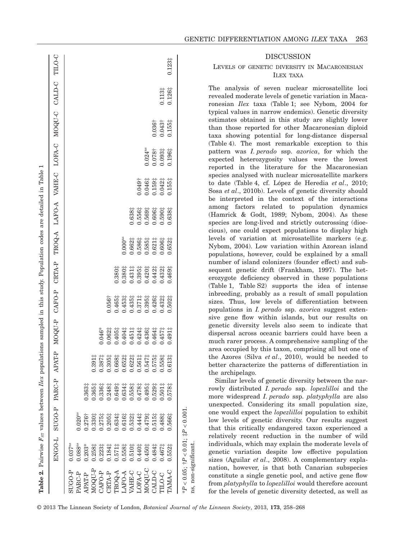|                |                                                           |                       |                    |                                                                                                                                                                                                                                                                                                                                      | Table 2. Pairwise $F_{\text{ST}}$ values between $Ilex$ populations sampled in this study. Population codes are detailed in Table 1 |                                                                       |                    |                     |                    |                    |                       |                    |                    |                 |
|----------------|-----------------------------------------------------------|-----------------------|--------------------|--------------------------------------------------------------------------------------------------------------------------------------------------------------------------------------------------------------------------------------------------------------------------------------------------------------------------------------|-------------------------------------------------------------------------------------------------------------------------------------|-----------------------------------------------------------------------|--------------------|---------------------|--------------------|--------------------|-----------------------|--------------------|--------------------|-----------------|
|                | ENGO-L                                                    | SUGO-P PARC-P         |                    | APAT-P                                                                                                                                                                                                                                                                                                                               |                                                                                                                                     | MOQU-P CAFO-P CRTA-P TROQ-A LAFO-A VAHE-C LOFA-C MOQU-C CALD-C TILO-C |                    |                     |                    |                    |                       |                    |                    |                 |
| <b>SUGO-P</b>  | $0.037$ <sup>ns</sup>                                     |                       |                    |                                                                                                                                                                                                                                                                                                                                      |                                                                                                                                     |                                                                       |                    |                     |                    |                    |                       |                    |                    |                 |
| PARC-P         | $0.088$ <sup>ns</sup>                                     | $0.020$ <sup>ns</sup> |                    |                                                                                                                                                                                                                                                                                                                                      |                                                                                                                                     |                                                                       |                    |                     |                    |                    |                       |                    |                    |                 |
| <b>APAT-P</b>  | $0.203*$                                                  | $0.276+$              | $0.363\ddagger$    |                                                                                                                                                                                                                                                                                                                                      |                                                                                                                                     |                                                                       |                    |                     |                    |                    |                       |                    |                    |                 |
| A-NOON         | 0.2581                                                    | 0.3301                | $0.365\frac{1}{4}$ | $0.391\ddagger$                                                                                                                                                                                                                                                                                                                      |                                                                                                                                     |                                                                       |                    |                     |                    |                    |                       |                    |                    |                 |
| CAFO-P         | $0.223\ddagger$                                           | $0.275\frac{1}{4}$    | 0.3361             |                                                                                                                                                                                                                                                                                                                                      | $0.046*$                                                                                                                            |                                                                       |                    |                     |                    |                    |                       |                    |                    |                 |
| <b>CRTA-P</b>  | 1.184‡                                                    | $0.205\frac{1}{4}$    | 0.2481             |                                                                                                                                                                                                                                                                                                                                      | 0.062#                                                                                                                              | 0.056 <sup>†</sup>                                                    |                    |                     |                    |                    |                       |                    |                    |                 |
| <b>TROQ-A</b>  | $0.571\frac{1}{4}$                                        | 0.634‡                | 0.649 <sup>‡</sup> |                                                                                                                                                                                                                                                                                                                                      | 1.405‡                                                                                                                              | 1.465‡                                                                | 1.380‡             |                     |                    |                    |                       |                    |                    |                 |
| LAFO-A         | 0.558‡                                                    | $0.616\ddagger$       | 0.6341             |                                                                                                                                                                                                                                                                                                                                      | 1404                                                                                                                                | $0.453\ddagger$                                                       | $0.380$ #          | $0.000^{\text{ns}}$ |                    |                    |                       |                    |                    |                 |
| VAHE-C         | $0.510_{7}^{+}$                                           | $0.532\ddagger$       | $0.558\ddagger$    |                                                                                                                                                                                                                                                                                                                                      | $0.451\ddagger$                                                                                                                     | $0.435\frac{1}{4}$                                                    | $0.431\frac{1}{4}$ | 1.662‡              | 1.638‡             |                    |                       |                    |                    |                 |
| LOFA-C         | 1.440‡                                                    | 0.444‡                | 0.4781             |                                                                                                                                                                                                                                                                                                                                      | 1.424‡                                                                                                                              | $0.371$ ‡                                                             | $0.395\frac{1}{4}$ | 1.586‡              | 0.556‡             | $0.049+$           |                       |                    |                    |                 |
| O-NOON         | 1.450‡                                                    | $0.479^{+}_{+}$       | $0.495\ddagger$    | $\begin{array}{r} 0.387 \textcolor{red}{\ddots} \\ 0.305 \textcolor{red}{\ddots} \\ 0.668 \textcolor{red}{\ddots} \\ 0.668 \textcolor{red}{\ddots} \\ 0.668 \textcolor{red}{\ddots} \\ 0.662 \textcolor{red}{\ddots} \\ 0.541 \textcolor{red}{\ddots} \\ 0.575 \textcolor{red}{\ddots} \\ 0.558 \textcolor{red}{\ddots} \end{array}$ | 0.4361                                                                                                                              | 0.3951                                                                | 0.4201             | 0.585‡              | 0.569‡             | 0.046‡             | $0.024$ <sup>ns</sup> |                    |                    |                 |
| <b>JALD-C</b>  | $0.484\frac{1}{4}$                                        | $0.515\frac{1}{4}$    | 0.529 <sup>‡</sup> |                                                                                                                                                                                                                                                                                                                                      | 0.464‡                                                                                                                              | 1.426#                                                                | $0.442\ddagger$    | $0.621\ddagger$     | 0.606‡             | $0.159\ddagger$    | 0.078 <sup>†</sup>    | 0.036 <sup>†</sup> |                    |                 |
| <b>CTILO-C</b> | 1.467‡                                                    | $0.488\ddagger$       | $0.501\frac{1}{4}$ |                                                                                                                                                                                                                                                                                                                                      | 0.457‡                                                                                                                              | 0.4321                                                                | $0.432\ddagger$    | $0.606\frac{1}{4}$  | $0.590\frac{1}{7}$ | $0.042\ddagger$    | $0.093\ddagger$       | 0.043 <sup>†</sup> | $0.113\ddagger$    |                 |
| PAMA-C         | $0.552\frac{1}{4}$                                        | 1,566                 | 0.578              | $13 +$<br>$\overline{5}$                                                                                                                                                                                                                                                                                                             | 0.4911                                                                                                                              | 0.5021                                                                | 1.469‡             | 1.652‡              | 0.638‡             | $0.155\frac{1}{4}$ | $0.196\frac{1}{4}$    | $0.155\frac{1}{4}$ | $0.126\frac{1}{7}$ | $0.123\ddagger$ |
|                | $*P < 0.05$ ; $\dagger P < 0.01$ ; $\ddagger P < 0.001$ . |                       |                    |                                                                                                                                                                                                                                                                                                                                      |                                                                                                                                     |                                                                       |                    |                     |                    |                    |                       |                    |                    |                 |

#### **DISCUSSION**

# LEVELS OF GENETIC DIVERSITY IN MACARONESIAN ILEX TAXA

The analysis of seven nuclear microsatellite loci revealed moderate levels of genetic variation in Macaronesian *Ilex* taxa (Table 1; see Nybom, 2004 for typical values in narrow endemics). Genetic diversity estimates obtained in this study are slightly lower than those reported for other Macaronesian diploid taxa showing potential for long-distance dispersal (Table 4). The most remarkable exception to this pattern was *I. perado* ssp. *azorica*, for which the expected heterozygosity values were the lowest reported in the literature for the Macaronesian species analysed with nuclear microsatellite markers to date (Table 4, cf. López de Heredia *et al*., 2010; Sosa *et al*., 2010b). Levels of genetic diversity should be interpreted in the context of the interactions among factors related to population dynamics (Hamrick & Godt, 1989; Nybom, 2004). As these species are long-lived and strictly outcrossing (dioecious), one could expect populations to display high levels of variation at microsatellite markers (e.g. Nybom, 2004). Low variation within Azorean island populations, however, could be explained by a small number of island colonizers (founder effect) and subsequent genetic drift (Frankham, 1997). The heterozygote deficiency observed in these populations (Table 1, Table S2) supports the idea of intense inbreeding, probably as a result of small population sizes. Thus, low levels of differentiation between populations in *I. perado* ssp. *azorica* suggest extensive gene flow within islands, but our results on genetic diversity levels also seem to indicate that dispersal across oceanic barriers could have been a much rarer process. A comprehensive sampling of the area occupied by this taxon, comprising all but one of the Azores (Silva *et al*., 2010), would be needed to better characterize the patterns of differentiation in the archipelago.

Similar levels of genetic diversity between the narrowly distributed *I. perado* ssp. *lopezlilloi* and the more widespread *I. perado* ssp. *platyphylla* are also unexpected. Considering its small population size, one would expect the *lopezlilloi* population to exhibit low levels of genetic diversity. Our results suggest that this critically endangered taxon experienced a relatively recent reduction in the number of wild individuals, which may explain the moderate levels of genetic variation despite low effective population sizes (Aguilar *et al*., 2008). A complementary explanation, however, is that both Canarian subspecies constitute a single genetic pool, and active gene flow from *platyphylla* to *lopezlilloi* would therefore account for the levels of genetic diversity detected, as well as

ns, non-significant.

as,

non-significant.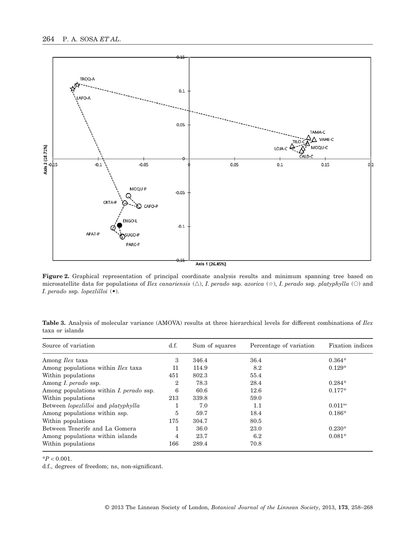

Axis 1 (26.45%)

**Figure 2.** Graphical representation of principal coordinate analysis results and minimum spanning tree based on microsatellite data for populations of *Ilex canariensis* (△), *I. perado* ssp. *azorica* (☆), *I. perado* ssp. *platyphylla* (○) and *I. perado* ssp. *lopezlilloi* (•).

| Source of variation                            | d.f.           | Sum of squares | Percentage of variation | <b>Fixation</b> indices |
|------------------------------------------------|----------------|----------------|-------------------------|-------------------------|
| Among <i>Ilex</i> taxa                         | 3              | 346.4          | 36.4                    | $0.364*$                |
| Among populations within <i>Ilex</i> taxa      | 11             | 114.9          | 8.2                     | $0.129*$                |
| Within populations                             | 451            | 802.3          | 55.4                    |                         |
| Among <i>I. perado</i> ssp.                    | $\overline{2}$ | 78.3           | 28.4                    | $0.284*$                |
| Among populations within <i>I. perado</i> ssp. | 6              | 60.6           | 12.6                    | $0.177*$                |
| Within populations                             | 213            | 339.8          | 59.0                    |                         |
| Between lopezlilloi and platyphylla            | 1              | 7.0            | 1.1                     | $0.011$ <sup>ns</sup>   |
| Among populations within ssp.                  | 5              | 59.7           | 18.4                    | $0.186*$                |
| Within populations                             | 175            | 304.7          | 80.5                    |                         |
| Between Tenerife and La Gomera                 | 1              | 36.0           | 23.0                    | $0.230*$                |
| Among populations within islands               | 4              | 23.7           | 6.2                     | $0.081*$                |
| Within populations                             | 166            | 289.4          | 70.8                    |                         |

**Table 3.** Analysis of molecular variance (AMOVA) results at three hierarchical levels for different combinations of *Ilex* taxa or islands

\**P* < 0.001.

d.f., degrees of freedom; ns, non-significant.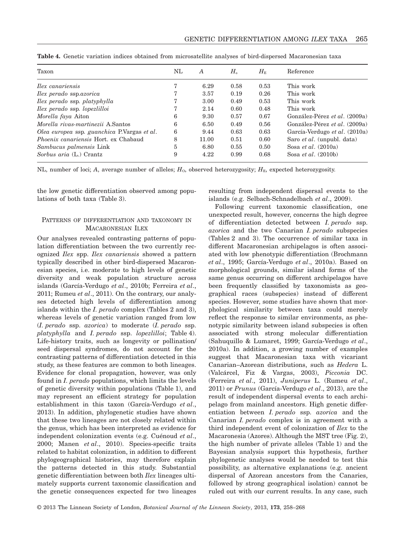| Taxon                                        | NL | $\boldsymbol{A}$ | $H_{\alpha}$ | $H_{\scriptscriptstyle\rm E}$ | Reference                            |
|----------------------------------------------|----|------------------|--------------|-------------------------------|--------------------------------------|
| <i>Hex canariensis</i>                       |    | 6.29             | 0.58         | 0.53                          | This work                            |
| <i>Hex perado</i> ssp. <i>azorica</i>        |    | 3.57             | 0.19         | 0.26                          | This work                            |
| <i>Ilex perado</i> ssp. <i>platyphylla</i>   |    | 3.00             | 0.49         | 0.53                          | This work                            |
| Ilex perado ssp. lopezlilloi                 |    | 2.14             | 0.60         | 0.48                          | This work                            |
| Morella faya Aiton                           | 6  | 9.30             | 0.57         | 0.67                          | González-Pérez et al. (2009a)        |
| Morella rivas-martinezii A.Santos            | 6  | 6.50             | 0.49         | 0.56                          | González-Pérez <i>et al.</i> (2009a) |
| Olea europea ssp. guanchica P. Vargas et al. | 6  | 9.44             | 0.63         | 0.63                          | García-Verdugo et al. (2010a)        |
| <i>Phoenix canariensis</i> Hort, ex Chabaud  | 8  | 11.00            | 0.51         | 0.60                          | Saro et al. (unpubl. data)           |
| Sambucus palmensis Link                      | 5  | 6.80             | 0.55         | 0.50                          | Sosa <i>et al.</i> $(2010a)$         |
| Sorbus aria (L.) Crantz                      | 9  | 4.22             | 0.99         | 0.68                          | Sosa <i>et al.</i> $(2010b)$         |
|                                              |    |                  |              |                               |                                      |

**Table 4.** Genetic variation indices obtained from microsatellite analyses of bird-dispersed Macaronesian taxa

NL, number of loci; *A*, average number of alleles;  $H_0$ , observed heterozygosity;  $H_E$ , expected heterozygosity.

the low genetic differentiation observed among populations of both taxa (Table 3).

# PATTERNS OF DIFFERENTIATION AND TAXONOMY IN MACARONESIAN ILEX

Our analyses revealed contrasting patterns of population differentiation between the two currently recognized *Ilex* spp. *Ilex canariensis* showed a pattern typically described in other bird-dispersed Macaronesian species, i.e. moderate to high levels of genetic diversity and weak population structure across islands (García-Verdugo *et al*., 2010b; Ferreira *et al*., 2011; Rumeu *et al*., 2011). On the contrary, our analyses detected high levels of differentiation among islands within the *I. perado* complex (Tables 2 and 3), whereas levels of genetic variation ranged from low (*I. perado* ssp. *azorica*) to moderate (*I. perado* ssp. *platyphylla* and *I. perado* ssp. *lopezlilloi*; Table 4). Life-history traits, such as longevity or pollination/ seed dispersal syndromes, do not account for the contrasting patterns of differentiation detected in this study, as these features are common to both lineages. Evidence for clonal propagation, however, was only found in *I. perado* populations, which limits the levels of genetic diversity within populations (Table 1), and may represent an efficient strategy for population establishment in this taxon (García-Verdugo *et al*., 2013). In addition, phylogenetic studies have shown that these two lineages are not closely related within the genus, which has been interpreted as evidence for independent colonization events (e.g. Cuénoud *et al*., 2000; Manen *et al*., 2010). Species-specific traits related to habitat colonization, in addition to different phylogeographical histories, may therefore explain the patterns detected in this study. Substantial genetic differentiation between both *Ilex* lineages ultimately supports current taxonomic classification and the genetic consequences expected for two lineages resulting from independent dispersal events to the islands (e.g. Selbach-Schnadelbach *et al*., 2009).

Following current taxonomic classification, one unexpected result, however, concerns the high degree of differentiation detected between *I. perado* ssp. *azorica* and the two Canarian *I. perado* subspecies (Tables 2 and 3). The occurrence of similar taxa in different Macaronesian archipelagos is often associated with low phenotypic differentiation (Brochmann *et al*., 1995; García-Verdugo *et al*., 2010a). Based on morphological grounds, similar island forms of the same genus occurring on different archipelagos have been frequently classified by taxonomists as geographical races (subspecies) instead of different species. However, some studies have shown that morphological similarity between taxa could merely reflect the response to similar environments, as phenotypic similarity between island subspecies is often associated with strong molecular differentiation (Sahuquillo & Lumaret, 1999; García-Verdugo *et al*., 2010a). In addition, a growing number of examples suggest that Macaronesian taxa with vicariant Canarian–Azorean distributions, such as *Hedera* L. (Valcárcel, Fiz & Vargas, 2003), *Picconia* DC. (Ferreira *et al*., 2011), *Juniperus* L. (Rumeu *et al*., 2011) or *Prunus* (García-Verdugo *et al*., 2013), are the result of independent dispersal events to each archipelago from mainland ancestors. High genetic differentiation between *I. perado* ssp. *azorica* and the Canarian *I. perado* complex is in agreement with a third independent event of colonization of *Ilex* to the Macaronesia (Azores). Although the MST tree (Fig. 2), the high number of private alleles (Table 1) and the Bayesian analysis support this hypothesis, further phylogenetic analyses would be needed to test this possibility, as alternative explanations (e.g. ancient dispersal of Azorean ancestors from the Canaries, followed by strong geographical isolation) cannot be ruled out with our current results. In any case, such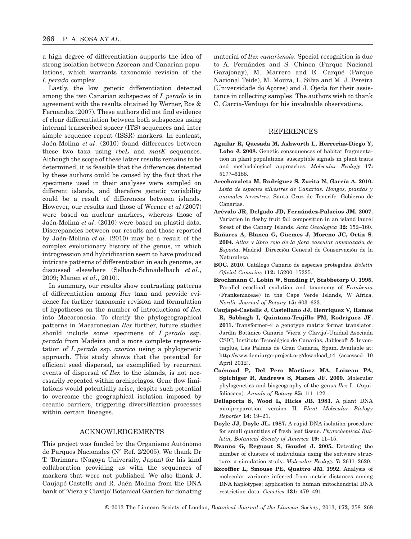a high degree of differentiation supports the idea of strong isolation between Azorean and Canarian populations, which warrants taxonomic revision of the *I. perado* complex.

Lastly, the low genetic differentiation detected among the two Canarian subspecies of *I. perado* is in agreement with the results obtained by Werner, Ros & Fernández (2007). These authors did not find evidence of clear differentiation between both subspecies using internal transcribed spacer (ITS) sequences and inter simple sequence repeat (ISSR) markers. In contrast, Jaén-Molina *et al*. (2010) found differences between these two taxa using *rbcL* and *matK* sequences. Although the scope of these latter results remains to be determined, it is feasible that the differences detected by these authors could be caused by the fact that the specimens used in their analyses were sampled on different islands, and therefore genetic variability could be a result of differences between islands. However, our results and those of Werner *et al*.(2007) were based on nuclear markers, whereas those of Jaén-Molina *et al*. (2010) were based on plastid data. Discrepancies between our results and those reported by Jaén-Molina *et al*. (2010) may be a result of the complex evolutionary history of the genus, in which introgression and hybridization seem to have produced intricate patterns of differentiation in each genome, as discussed elsewhere (Selbach-Schnadelbach *et al*., 2009; Manen *et al*., 2010).

In summary, our results show contrasting patterns of differentiation among *Ilex* taxa and provide evidence for further taxonomic revision and formulation of hypotheses on the number of introductions of *Ilex* into Macaronesia. To clarify the phylogeographical patterns in Macaronesian *Ilex* further, future studies should include some specimens of *I. perado* ssp. *perado* from Madeira and a more complete representation of *I. perado* ssp. *azorica* using a phylogenetic approach. This study shows that the potential for efficient seed dispersal, as exemplified by recurrent events of dispersal of *Ilex* to the islands, is not necessarily repeated within archipelagos. Gene flow limitations would potentially arise, despite such potential to overcome the geographical isolation imposed by oceanic barriers, triggering diversification processes within certain lineages.

### ACKNOWLEDGEMENTS

This project was funded by the Organismo Autónomo de Parques Nacionales (N° Ref. 2/2005). We thank Dr T. Torimaru (Nagoya University, Japan) for his kind collaboration providing us with the sequences of markers that were not published. We also thank J. Caujapé-Castells and R. Jaén Molina from the DNA bank of 'Viera y Clavijo' Botanical Garden for donating material of *Ilex canariensis*. Special recognition is due to A. Fernández and S. Chinea (Parque Nacional Garajonay), M. Marrero and E. Carqué (Parque Nacional Teide), M. Moura, L. Silva and M. J. Pereira (Universidade do Açores) and J. Ojeda for their assistance in collecting samples. The authors wish to thank C. García-Verdugo for his invaluable observations.

#### **REFERENCES**

- **Aguilar R, Quesada M, Ashworth L, Herrerias-Diego Y, Lobo J. 2008.** Genetic consequences of habitat fragmentation in plant populations: susceptible signals in plant traits and methodological approaches. *Molecular Ecology* **17:** 5177–5188.
- **Arechavaleta M, Rodríguez S, Zurita N, García A. 2010.** *Lista de especies silvestres de Canarias. Hongos, plantas y animales terrestres*. Santa Cruz de Tenerife: Gobierno de Canarias.
- **Arévalo JR, Delgado JD, Fernández-Palacios JM. 2007.** Variation in fleshy fruit fall composition in an island laurel forest of the Canary Islands. *Acta Oecologica* **32:** 152–160.
- **Bañares A, Blanca G, Güemes J, Moreno JC, Ortiz S. 2004.** *Atlas y libro rojo de la flora vascular amenazada de España*. Madrid: Dirección General de Conservación de la Naturaleza.
- **BOC. 2010.** Catálogo Canario de especies protegidas. *Boletín Oficial Canarias* **112:** 15200–15225.
- **Brochmann C, Lobin W, Sunding P, Stabbetorp O. 1995.** Parallel ecoclinal evolution and taxonomy of *Frankenia* (Frankeniaceae) in the Cape Verde Islands, W Africa. *Nordic Journal of Botany* **15:** 603–623.
- **Caujapé-Castells J, Castellano JJ, Henríquez V, Ramos R, Sabbagh I, Quintana-Trujillo FM, Rodríguez JF. 2011.** Transformer-4: a genotype matrix format translator. Jardín Botánico Canario 'Viera y Clavijo'-Unidad Asociada CSIC, Instituto Tecnológico de Canarias, Jablesoft & Inventiaplus, Las Palmas de Gran Canaria, Spain. Available at: [http://www.demiurge-project.org/download\\_t4](http://www.demiurge-project.org/download_t4) (accessed 10 April 2012).
- **Cuénoud P, Del Pero Martinez MA, Loizeau PA, Spichiger R, Andrews S, Manen JF. 2000.** Molecular phylogenetics and biogeography of the genus *Ilex* L. (Aquifoliacaea). *Annals of Botany* **85:** 111–122.
- **Dellaporta S, Wood L, Hicks JB. 1983.** A plant DNA minipreparation, version II. *Plant Molecular Biology Reporter* **14:** 19–21.
- **Doyle JJ, Doyle JL. 1987.** A rapid DNA isolation procedure for small quantities of fresh leaf tissue. *Phytochemical Bulletin, Botanical Society of America* **19:** 11–15.
- **Evanno G, Regnaut S, Goudet J. 2005.** Detecting the number of clusters of individuals using the software structure: a simulation study. *Molecular Ecology* **7:** 2611–2620.
- **Excoffier L, Smouse PE, Quattro JM. 1992.** Analysis of molecular variance inferred from metric distances among DNA haplotypes: application to human mitochondrial DNA restriction data. *Genetics* **131:** 479–491.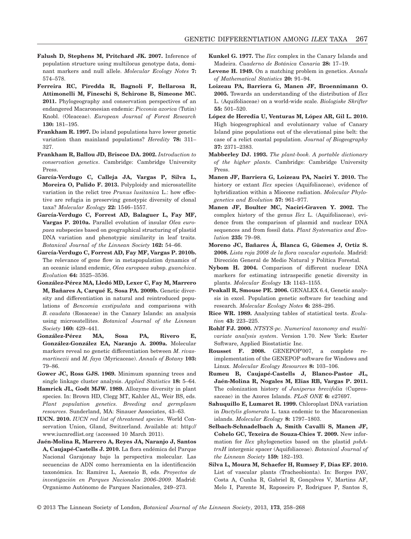- **Falush D, Stephens M, Pritchard JK. 2007.** Inference of population structure using multilocus genotype data, dominant markers and null allele. *Molecular Ecology Notes* **7:** 574–578.
- **Ferreira RC, Piredda R, Bagnoli F, Bellarosa R, Attimonelli M, Fineschi S, Schirone B, Simeone MC. 2011.** Phylogeography and conservation perspectives of an endangered Macaronesian endemic: *Picconia azorica* (Tutin) Knobl. (Oleaceae). *European Journal of Forest Research* **130:** 181–195.
- **Frankham R. 1997.** Do island populations have lower genetic variation than mainland populations? *Heredity* **78:** 311– 327.
- **Frankham R, Ballou JD, Briscoe DA. 2002.** *Introduction to conservation genetics*. Cambridge: Cambridge University Press.
- **García-Verdugo C, Calleja JA, Vargas P, Silva L, Moreira O, Pulido F. 2013.** Polyploidy and microsatellite variation in the relict tree *Prunus lusitanica* L.: how effective are refugia in preserving genotypic diversity of clonal taxa? *Molecular Ecology* **22:** 1546–1557.
- **García-Verdugo C, Forrest AD, Balaguer L, Fay MF, Vargas P. 2010a.** Parallel evolution of insular *Olea europaea* subspecies based on geographical structuring of plastid DNA variation and phenotypic similarity in leaf traits. *Botanical Journal of the Linnean Society* **162:** 54–66.
- **García-Verdugo C, Forrest AD, Fay MF, Vargas P. 2010b.** The relevance of gene flow in metapopulation dynamics of an oceanic island endemic, *Olea europaea* subsp. *guanchica*. *Evolution* **64:** 3525–3536.
- **González-Pérez MA, Lledó MD, Lexer C, Fay M, Marrero M, Bañares A, Carqué E, Sosa PA. 2009b.** Genetic diversity and differentiation in natural and reintroduced populations of *Bencomia exstipulata* and comparisons with *B. caudata* (Rosaceae) in the Canary Islands: an analysis using microsatellites. *Botanical Journal of the Linnean Society* **160:** 429–441.
- **González-Pérez MA, Sosa PA, Rivero E, González-González EA, Naranjo A. 2009a.** Molecular markers reveal no genetic differentiation between *M. rivasmartinezii* and *M. faya* (Myricaceae). *Annals of Botany* **103:** 79–86.
- **Gower JC, Ross GJS. 1969.** Minimum spanning trees and single linkage cluster analysis. *Applied Statistics* **18:** 5–64.
- **Hamrick JL, Godt MJW. 1989.** Allozyme diversity in plant species. In: Brown HD, Clegg MT, Kahler AL, Weir BS, eds. *Plant population genetics. Breeding and germplasm resources*. Sunderland, MA: Sinauer Associates, 43–63.
- **IUCN. 2010.** *IUCN red list of threatened species*. World Conservation Union, Gland, Switzerland. Available at: [http://](http://www.iucnredlist.org) [www.iucnredlist.org](http://www.iucnredlist.org) (accessed 10 March 2011).
- **Jaén-Molina R, Marrero A, Reyes JA, Naranjo J, Santos A, Caujapé-Castells J. 2010.** La flora endémica del Parque Nacional Garajonay bajo la perspectiva molecular. Las secuencias de ADN como herramienta en la identificación taxonómica. In: Ramírez L, Asensio B, eds. *Proyectos de investigación en Parques Nacionales 2006–2009*. Madrid: Organismo Autónomo de Parques Nacionales, 249–273.
- **Kunkel G. 1977.** The *Ilex* complex in the Canary Islands and Madeira. *Cuaderno de Botánica Canaria* **28:** 17–19.
- **Levene H. 1949.** On a matching problem in genetics. *Annals of Mathematical Statistics* **20:** 91–94.
- **Loizeau PA, Barriera G, Manen JF, Broennimann O. 2005.** Towards an understanding of the distribution of *Ilex* L. (Aquifoliaceae) on a world-wide scale. *Biologiske Skrifter* **55:** 501–520.
- **López de Heredia U, Venturas M, López AR, Gil L. 2010.** High biogeographical and evolutionary value of Canary Island pine populations out of the elevational pine belt: the case of a relict coastal population. *Journal of Biogeography* **37:** 2371–2383.
- **Mabberley DJ. 1993.** *The plant-book. A portable dictionary of the higher plants*. Cambridge: Cambridge University Press.
- **Manen JF, Barriera G, Loizeau PA, Naciri Y. 2010.** The history or extant *Ilex* species (Aquifoliaceae), evidence of hybridization within a Miocene radiation. *Molecular Phylogenetics and Evolution* **57:** 961–977.
- **Manen JF, Boulter MC, Naciri-Graven Y. 2002.** The complex history of the genus *Ilex* L. (Aquifoliaceae), evidence from the comparison of plasmid and nuclear DNA sequences and from fossil data. *Plant Systematics and Evolution* **235:** 79–98.
- **Moreno JC, Bañares Á, Blanca G, Güemes J, Ortiz S. 2008.** *Lista roja 2008 de la flora vascular española*. Madrid: Dirección General de Medio Natural y Política Forestal.
- **Nybom H. 2004.** Comparison of different nuclear DNA markers for estimating intraspecific genetic diversity in plants. *Molecular Ecology* **13:** 1143–1155.
- **Peakall R, Smouse PE. 2006.** GENALEX 6.4, Genetic analysis in excel. Population genetic software for teaching and research. *Molecular Ecology Notes* **6:** 288–295.
- **Rice WR. 1989.** Analyzing tables of statistical tests. *Evolution* **43:** 223–225.
- **Rohlf FJ. 2000.** *NTSYS-pc. Numerical taxonomy and multivariate analysis system*. Version 1.70. New York: Exeter Software, Applied Biostatistic Inc.
- **Rousset F. 2008.** GENEPOP'007, a complete reimplementation of the GENEPOP software for Windows and Linux. *Molecular Ecology Resources* **8:** 103–106.
- **Rumeu B, Caujapé-Castells J, Blanco-Pastor JL, Jaén-Molina R, Nogales M, Elias RB, Vargas P. 2011.** The colonization history of *Juniperus brevifolia* (Cupressaceae) in the Azores Islands. *PLoS ONE* **6:** e27697.
- **Sahuquillo E, Lumaret R. 1999.** Chloroplast DNA variation in *Dactylis glomerata* L. taxa endemic to the Macaronesian islands. *Molecular Ecology* **8:** 1797–1803.
- **Selbach-Schnadelbach A, Smith Cavalli S, Manen JF, Cohelo GC, Texeira de Souza-Chies T. 2009.** New information for *Ilex* phylogenetics based on the plastid *psbAtrnH* intergenic spacer (Aquifoliaceae). *Botanical Journal of the Linnean Society* **159:** 182–193.
- **Silva L, Moura M, Schaefer H, Rumsey F, Dias EF. 2010.** List of vascular plants (Tracheobionta). In: Borges PAV, Costa A, Cunha R, Gabriel R, Gonçalves V, Martins AF, Melo I, Parente M, Raposeiro P, Rodrigues P, Santos S,